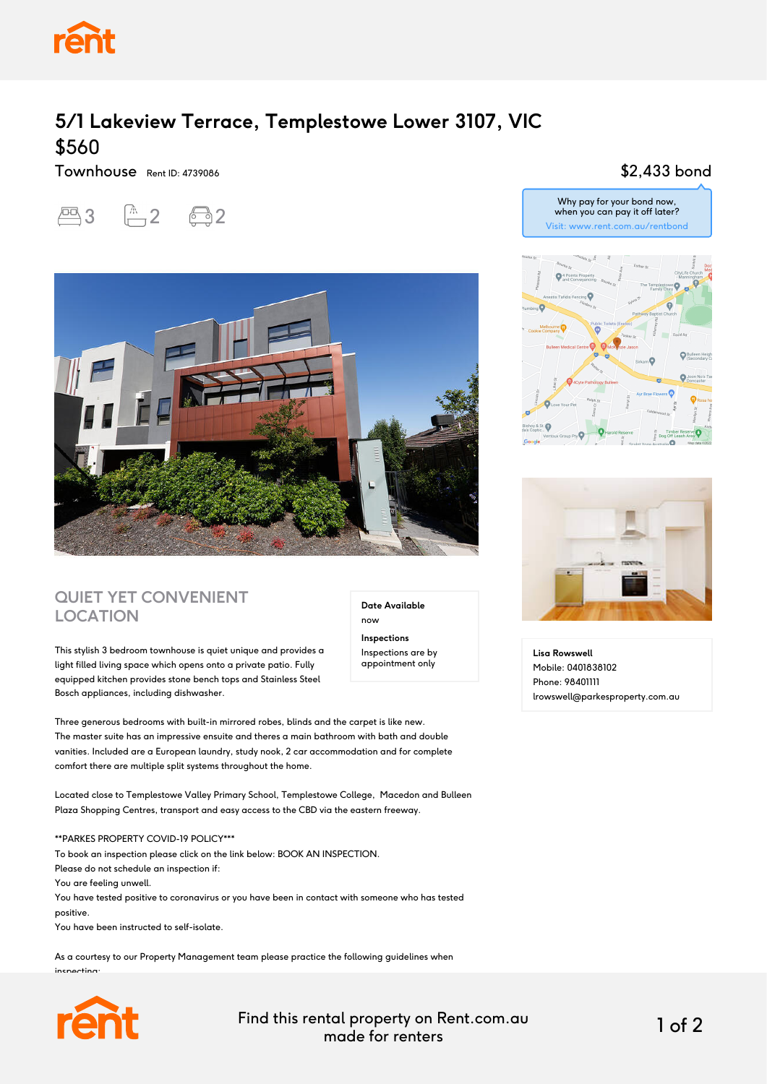

## **5/1 Lakeview Terrace, Templestowe Lower 3107, VIC** \$560

Townhouse Rent ID: 4739086

# $2$   $2$   $2$   $2$



### **QUIET YET CONVENIENT LOCATION**

This stylish 3 bedroom townhouse is quiet unique and provides a light filled living space which opens onto a private patio. Fully equipped kitchen provides stone bench tops and Stainless Steel Bosch appliances, including dishwasher.

Three generous bedrooms with built-in mirrored robes, blinds and the carpet is like new. The master suite has an impressive ensuite and theres a main bathroom with bath and double vanities. Included are a European laundry, study nook, 2 car accommodation and for complete comfort there are multiple split systems throughout the home.

Located close to Templestowe Valley Primary School, Templestowe College, Macedon and Bulleen Plaza Shopping Centres, transport and easy access to the CBD via the eastern freeway.

\*\*PARKES PROPERTY COVID-19 POLICY\*\*\*

To book an inspection please click on the link below: BOOK AN INSPECTION.

Please do not schedule an inspection if:

You are feeling unwell.

You have tested positive to coronavirus or you have been in contact with someone who has tested positive.

You have been instructed to self-isolate.

As a courtesy to our Property Management team please practice the following guidelines when inspecting:



Find this rental property on Rent.com.au made for renters 1 of 2

**Date Available**

now **Inspections** Inspections are by appointment only

#### \$2,433 bond





**Lisa Rowswell** Mobile: 0401838102 Phone: 98401111 lrowswell@parkesproperty.com.au